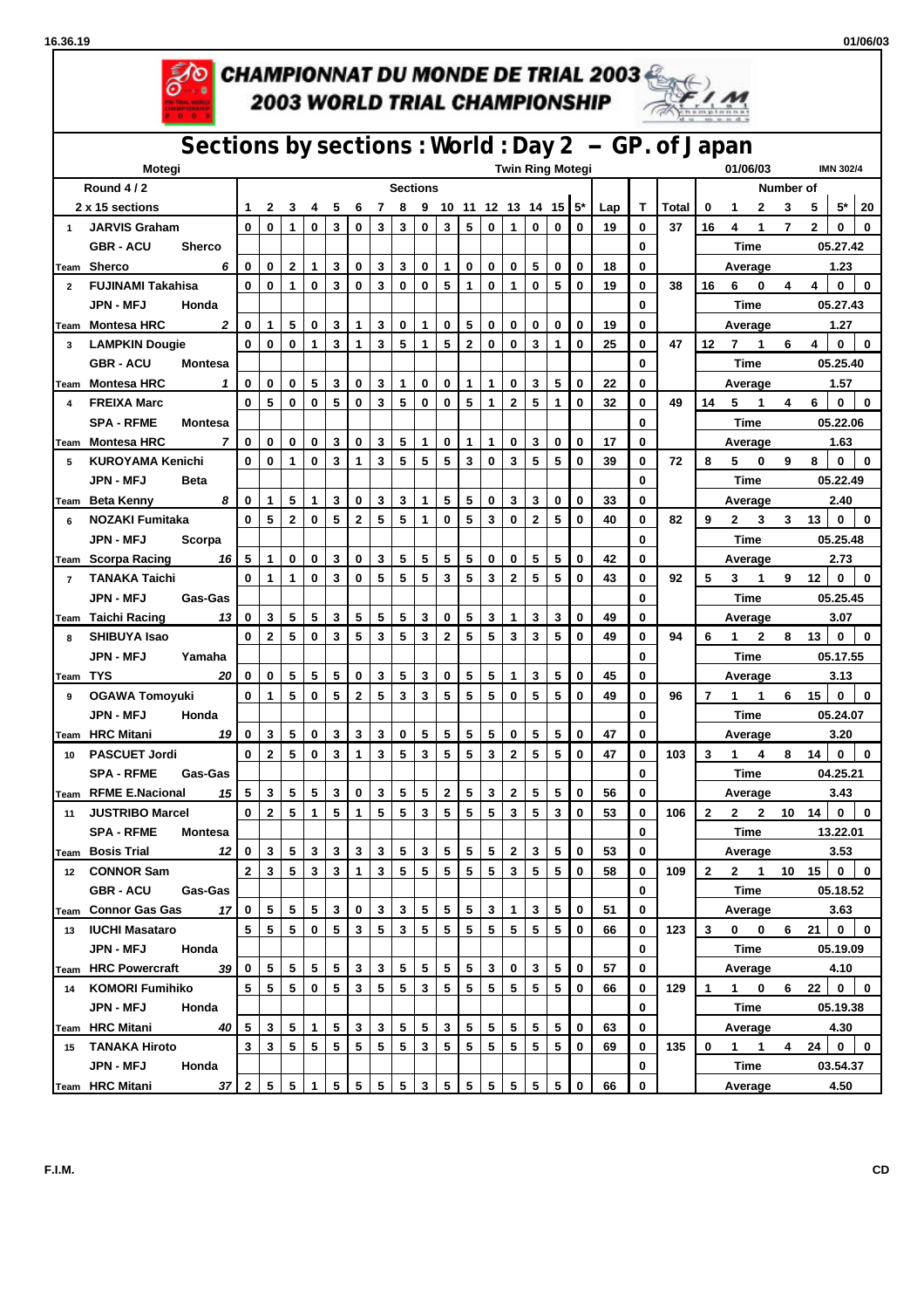



## **AO CHAMPIONNAT DU MONDE DE TRIAL 2003 2003 WORLD TRIAL CHAMPIONSHIP**



## **Sections by sections : World : Day 2 -- GP. of Japan Motegi Twin Ring Motegi 01/06/03 IMN 302/4 Round 4 / 2 Sections Number of** 2 x 15 sections  $\begin{vmatrix} 1 & 2 & 3 & 4 & 5 & 6 & 7 & 8 & 9 & 10 & 11 & 12 & 13 & 14 & 15 & 5^* \end{vmatrix}$  Lap  $\begin{vmatrix} 1 & 1 \end{vmatrix}$  Total  $\begin{vmatrix} 0 & 1 & 2 & 3 & 5 & 5^* \end{vmatrix}$  5  $\begin{vmatrix} 5 & 20 & 1 & 2 & 3 & 5 \end{vmatrix}$ 1 JARVIS Graham  $|0|0|1|0|3|0|3|3|0|3|5|0|1|0|0|19|0|37|16$  4 1 7 2 0 0 **GBR - ACU Sherco 0 Time 05.27.42 Team Sherco** *6* **0 0 2 1 3 0 3 3 0 1 0 0 0 5 0 0 18 0 Average 1.23** 2 FUJINAMI Takahisa  $|0|0|1|0|3|0|3|0|0|5|1|0|1|0|5|0|19|0|38|166044|0|0$ **JPN - MFJ Honda 0 Time 05.27.43** Team Montesa HRC 2 |0 |1 |5 |0 |3 |1 |3 |0 |1 |0 |5 |0 | 0 | 0 | 0 | 0 | 0 | 0 | 0 | 0 | | Average 1.27 3 LAMPKIN Dougie | 0 | 0 | 0 | 1 | 3 | 1 | 3 | 5 | 1 | 5 | 2 | 0 | 0 | 3 | 1 | 0 | 25 | 0 | 47 | 12 7 1 6 4 | 0 | 0 **GBR - ACU Montesa 0 Time 05.25.40 Team Montesa HRC** *1* **0 0 0 5 3 0 3 1 0 0 1 1 0 3 5 0 22 0 Average 1.57** 4 FREIXA Marc | 0 | 5 | 0 | 0 | 5 | 0 | 0 | 5 | 1 | 0 | 5 | 1 | 0 | 32 | 0 | 49 | 14 5 1 4 6 | 0 | 0 **SPA - RFME Montesa 0 Time 05.22.06** Team Montesa HRC 7|0|0|0|0|0|3|0|3|5|1|0|1|1|0|3|0|0| 17 |0| | Average 1.63 5 KUROYAMA Kenichi | 0 | 0 | 1 | 0 | 3 | 1 | 3 | 5 | 5 | 5 | 3 | 0 | 3 | 5 | 5 | 6 | 0 | 39 | 0 | 72 | 8 5 0 9 8 | 0 | 0 **JPN - MFJ Beta 0 Time 05.22.49** <u>Team Beta Kenny 8  $\mid$  0  $\mid$  1  $\mid$  5  $\mid$  0  $\mid$  3  $\mid$  1  $\mid$  5  $\mid$  5  $\mid$  6  $\mid$  3  $\mid$  3  $\mid$  0  $\mid$  0  $\mid$  33  $\mid$  0  $\mid$  0  $\mid$   $\mid$   $\mid$  Average 2.40</u> 6 NOZAKI Fumitaka | 0 | 5 | 2 | 0 | 5 | 2 | 5 | 5 | 1 | 0 | 5 | 3 | 0 | 2 | 5 | 0 | 40 | 0 | 82 | 9 2 3 3 13 | 0 | 0 **JPN - MFJ Scorpa 0 Time 05.25.48 Team Scorpa Racing** *16* **5 1 0 0 3 0 3 5 5 5 5 0 0 5 5 0 42 0 Average 2.73** 7 TANAKA Taichi | 0 | 1 | 1 | 0 | 3 | 0 | 5 | 5 | 5 | 3 | 5 | 3 | 2 | 5 | 5 | 0 | 43 | 0 | 92 | 5 3 1 9 12 | 0 | 0 **JPN - MFJ Gas-Gas 0 Time 05.25.45** Team Taichi Racing 13 | 0 | 3 | 5 | 5 | 3 | 5 | 5 | 5 | 3 | 0 | 5 | 3 | 1 | 3 | 3 | 0 | 49 | 0 | | Average 3.07 8 SHIBUYA Isao | 0 | 2 | 5 | 0 | 3 | 5 | 3 | 3 | 2 | 5 | 5 | 3 | 3 | 5 | 0 | 49 | 0 | 94 | 6 1 2 8 13 | 0 | 0 **JPN - MFJ Yamaha 0 Time 05.17.55 Team TYS** *20* **0 0 5 5 5 0 3 5 3 0 5 5 1 3 5 0 45 0 Average 3.13 9 OGAWA Tomoyuki 0 1 5 0 5 2 5 3 3 5 5 5 0 5 5 0 49 0 96 7 1 1 6 15 0 0 JPN - MFJ Honda 0 Time 05.24.07 Team HRC Mitani** *19* **0 3 5 0 3 3 3 0 5 5 5 5 0 5 5 0 47 0 Average 3.20** 10 PASCUET Jordi | 0 | 2 | 5 | 0 | 3 | 1 | 3 | 5 | 3 | 5 | 5 | 3 | 2 | 5 | 5 | 0 | 47 | 0 | 103 | 3 1 4 8 14 | 0 | 0 **SPA - RFME Gas-Gas 0 Time 04.25.21 Team RFME E.Nacional** *15* **5 3 5 5 3 0 3 5 5 2 5 3 2 5 5 0 56 0 Average 3.43** 11 JUSTRIBO Marcel | 0 | 2 | 5 | 1 | 5 | 1 | 5 | 5 | 3 | 5 | 5 | 5 | 5 | 3 | 5 | 3 | 6 | 53 | 0 | 106 | 2 2 2 10 14 | 0 | 0 **SPA - RFME Montesa 0 Time 13.22.01 Team Bosis Trial** *12* **0 3 5 3 3 3 3 5 3 5 5 5 2 3 5 0 53 0 Average 3.53 12 CONNOR Sam 2 3 5 3 3 1 3 5 5 5 5 5 3 5 5 0 58 0 109 2 2 1 10 15 0 0 GBR - ACU Gas-Gas 0 Time 05.18.52 Team Connor Gas Gas** *17* **0 5 5 5 3 0 3 3 5 5 5 3 1 3 5 0 51 0 Average 3.63 13 IUCHI Masataro 5 5 5 0 5 3 5 3 5 5 5 5 5 5 5 0 66 0 123 3 0 0 6 21 0 0 JPN - MFJ Honda 0 Time 05.19.09 Team HRC Powercraft** *39* **0 5 5 5 5 3 3 5 5 5 5 3 0 3 5 0 57 0 Average 4.10 14 KOMORI Fumihiko 5 5 5 0 5 3 5 5 3 5 5 5 5 5 5 0 66 0 129 1 1 0 6 22 0 0 JPN - MFJ Honda 0 Time 05.19.38 Team HRC Mitani** *40* **5 3 5 1 5 3 3 5 5 3 5 5 5 5 5 0 63 0 Average 4.30 15 TANAKA Hiroto 3 3 5 5 5 5 5 5 3 5 5 5 5 5 5 0 69 0 135 0 1 1 4 24 0 0 JPN - MFJ Honda 0 Time 03.54.37 Team HRC Mitani** *37* **2 5 5 1 5 5 5 5 3 5 5 5 5 5 5 0 66 0 Average 4.50**